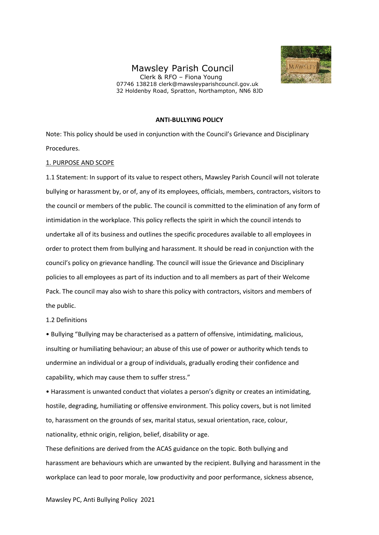# Mawsley Parish Council

 Clerk & RFO – Fiona Young 07746 138218 clerk@mawsleyparishcouncil.gov.uk 32 Holdenby Road, Spratton, Northampton, NN6 8JD



### **ANTI-BULLYING POLICY**

Note: This policy should be used in conjunction with the Council's Grievance and Disciplinary Procedures.

#### 1. PURPOSE AND SCOPE

1.1 Statement: In support of its value to respect others, Mawsley Parish Council will not tolerate bullying or harassment by, or of, any of its employees, officials, members, contractors, visitors to the council or members of the public. The council is committed to the elimination of any form of intimidation in the workplace. This policy reflects the spirit in which the council intends to undertake all of its business and outlines the specific procedures available to all employees in order to protect them from bullying and harassment. It should be read in conjunction with the council's policy on grievance handling. The council will issue the Grievance and Disciplinary policies to all employees as part of its induction and to all members as part of their Welcome Pack. The council may also wish to share this policy with contractors, visitors and members of the public.

#### 1.2 Definitions

• Bullying "Bullying may be characterised as a pattern of offensive, intimidating, malicious, insulting or humiliating behaviour; an abuse of this use of power or authority which tends to undermine an individual or a group of individuals, gradually eroding their confidence and capability, which may cause them to suffer stress."

• Harassment is unwanted conduct that violates a person's dignity or creates an intimidating, hostile, degrading, humiliating or offensive environment. This policy covers, but is not limited to, harassment on the grounds of sex, marital status, sexual orientation, race, colour, nationality, ethnic origin, religion, belief, disability or age.

These definitions are derived from the ACAS guidance on the topic. Both bullying and harassment are behaviours which are unwanted by the recipient. Bullying and harassment in the workplace can lead to poor morale, low productivity and poor performance, sickness absence,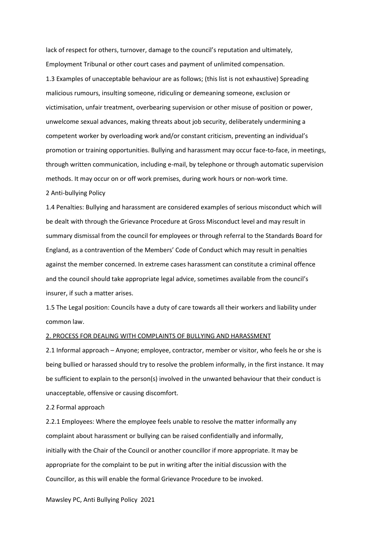lack of respect for others, turnover, damage to the council's reputation and ultimately, Employment Tribunal or other court cases and payment of unlimited compensation. 1.3 Examples of unacceptable behaviour are as follows; (this list is not exhaustive) Spreading malicious rumours, insulting someone, ridiculing or demeaning someone, exclusion or victimisation, unfair treatment, overbearing supervision or other misuse of position or power, unwelcome sexual advances, making threats about job security, deliberately undermining a competent worker by overloading work and/or constant criticism, preventing an individual's promotion or training opportunities. Bullying and harassment may occur face-to-face, in meetings, through written communication, including e-mail, by telephone or through automatic supervision methods. It may occur on or off work premises, during work hours or non-work time.

#### 2 Anti-bullying Policy

1.4 Penalties: Bullying and harassment are considered examples of serious misconduct which will be dealt with through the Grievance Procedure at Gross Misconduct level and may result in summary dismissal from the council for employees or through referral to the Standards Board for England, as a contravention of the Members' Code of Conduct which may result in penalties against the member concerned. In extreme cases harassment can constitute a criminal offence and the council should take appropriate legal advice, sometimes available from the council's insurer, if such a matter arises.

1.5 The Legal position: Councils have a duty of care towards all their workers and liability under common law.

#### 2. PROCESS FOR DEALING WITH COMPLAINTS OF BULLYING AND HARASSMENT

2.1 Informal approach – Anyone; employee, contractor, member or visitor, who feels he or she is being bullied or harassed should try to resolve the problem informally, in the first instance. It may be sufficient to explain to the person(s) involved in the unwanted behaviour that their conduct is unacceptable, offensive or causing discomfort.

## 2.2 Formal approach

2.2.1 Employees: Where the employee feels unable to resolve the matter informally any complaint about harassment or bullying can be raised confidentially and informally, initially with the Chair of the Council or another councillor if more appropriate. It may be appropriate for the complaint to be put in writing after the initial discussion with the Councillor, as this will enable the formal Grievance Procedure to be invoked.

Mawsley PC, Anti Bullying Policy 2021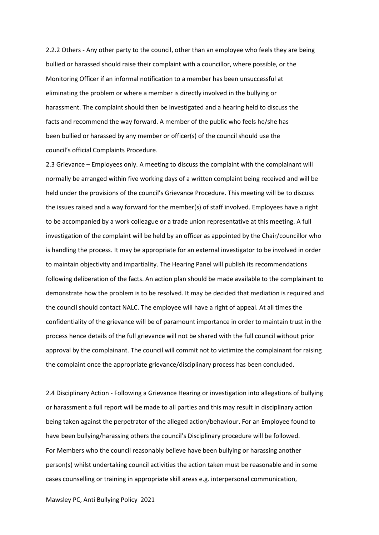2.2.2 Others - Any other party to the council, other than an employee who feels they are being bullied or harassed should raise their complaint with a councillor, where possible, or the Monitoring Officer if an informal notification to a member has been unsuccessful at eliminating the problem or where a member is directly involved in the bullying or harassment. The complaint should then be investigated and a hearing held to discuss the facts and recommend the way forward. A member of the public who feels he/she has been bullied or harassed by any member or officer(s) of the council should use the council's official Complaints Procedure.

2.3 Grievance – Employees only. A meeting to discuss the complaint with the complainant will normally be arranged within five working days of a written complaint being received and will be held under the provisions of the council's Grievance Procedure. This meeting will be to discuss the issues raised and a way forward for the member(s) of staff involved. Employees have a right to be accompanied by a work colleague or a trade union representative at this meeting. A full investigation of the complaint will be held by an officer as appointed by the Chair/councillor who is handling the process. It may be appropriate for an external investigator to be involved in order to maintain objectivity and impartiality. The Hearing Panel will publish its recommendations following deliberation of the facts. An action plan should be made available to the complainant to demonstrate how the problem is to be resolved. It may be decided that mediation is required and the council should contact NALC. The employee will have a right of appeal. At all times the confidentiality of the grievance will be of paramount importance in order to maintain trust in the process hence details of the full grievance will not be shared with the full council without prior approval by the complainant. The council will commit not to victimize the complainant for raising the complaint once the appropriate grievance/disciplinary process has been concluded.

2.4 Disciplinary Action - Following a Grievance Hearing or investigation into allegations of bullying or harassment a full report will be made to all parties and this may result in disciplinary action being taken against the perpetrator of the alleged action/behaviour. For an Employee found to have been bullying/harassing others the council's Disciplinary procedure will be followed. For Members who the council reasonably believe have been bullying or harassing another person(s) whilst undertaking council activities the action taken must be reasonable and in some cases counselling or training in appropriate skill areas e.g. interpersonal communication,

Mawsley PC, Anti Bullying Policy 2021